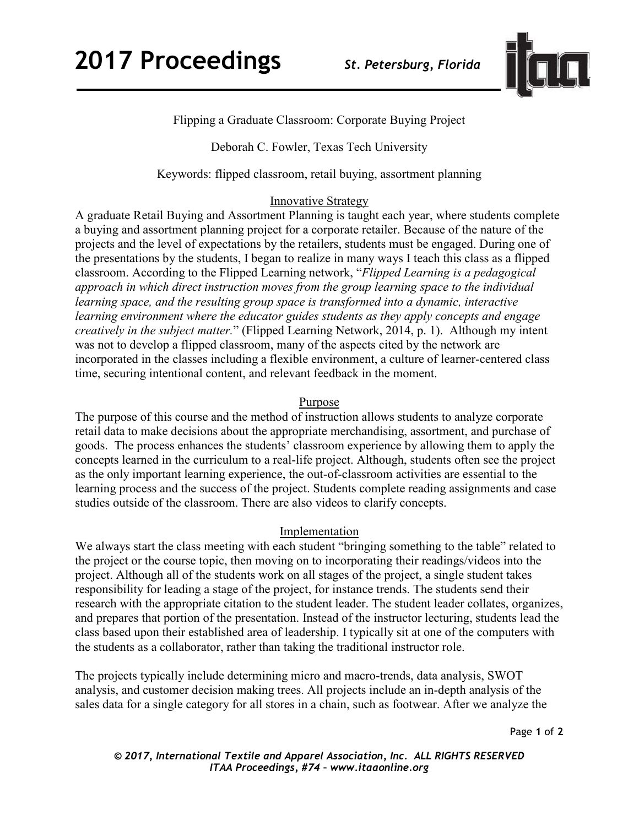

# Flipping a Graduate Classroom: Corporate Buying Project

## Deborah C. Fowler, Texas Tech University

Keywords: flipped classroom, retail buying, assortment planning

## **Innovative Strategy**

A graduate Retail Buying and Assortment Planning is taught each year, where students complete a buying and assortment planning project for a corporate retailer. Because of the nature of the projects and the level of expectations by the retailers, students must be engaged. During one of the presentations by the students, I began to realize in many ways I teach this class as a flipped classroom. According to the Flipped Learning network, "*Flipped Learning is a pedagogical approach in which direct instruction moves from the group learning space to the individual learning space, and the resulting group space is transformed into a dynamic, interactive learning environment where the educator guides students as they apply concepts and engage creatively in the subject matter.*" (Flipped Learning Network, 2014, p. 1). Although my intent was not to develop a flipped classroom, many of the aspects cited by the network are incorporated in the classes including a flexible environment, a culture of learner-centered class time, securing intentional content, and relevant feedback in the moment.

#### Purpose

The purpose of this course and the method of instruction allows students to analyze corporate retail data to make decisions about the appropriate merchandising, assortment, and purchase of goods. The process enhances the students' classroom experience by allowing them to apply the concepts learned in the curriculum to a real-life project. Although, students often see the project as the only important learning experience, the out-of-classroom activities are essential to the learning process and the success of the project. Students complete reading assignments and case studies outside of the classroom. There are also videos to clarify concepts.

#### **Implementation**

We always start the class meeting with each student "bringing something to the table" related to the project or the course topic, then moving on to incorporating their readings/videos into the project. Although all of the students work on all stages of the project, a single student takes responsibility for leading a stage of the project, for instance trends. The students send their research with the appropriate citation to the student leader. The student leader collates, organizes, and prepares that portion of the presentation. Instead of the instructor lecturing, students lead the class based upon their established area of leadership. I typically sit at one of the computers with the students as a collaborator, rather than taking the traditional instructor role.

The projects typically include determining micro and macro-trends, data analysis, SWOT analysis, and customer decision making trees. All projects include an in-depth analysis of the sales data for a single category for all stores in a chain, such as footwear. After we analyze the

Page **1** of **2** 

*© 2017, International Textile and Apparel Association, Inc. ALL RIGHTS RESERVED ITAA Proceedings, #74 – www.itaaonline.org*